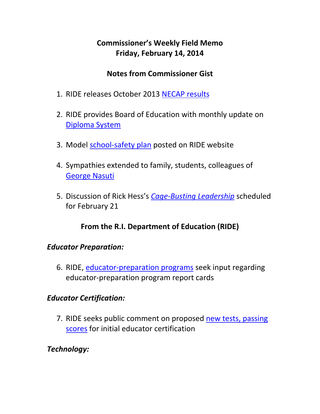# **Commissioner's Weekly Field Memo Friday, February 14, 2014**

### **Notes from Commissioner Gist**

- 1. RIDE releases October 2013 NECAP results
- 2. RIDE provides Board of Education with monthly update on Diploma System
- 3. Model school-safety plan posted on RIDE website
- 4. Sympathies extended to family, students, colleagues of George Nasuti
- 5. Discussion of Rick Hess's *Cage‐Busting Leadership* scheduled for February 21

# **From the R.I. Department of Education (RIDE)**

### *Educator Preparation:*

6. RIDE, educator‐preparation programs seek input regarding educator‐preparation program report cards

### *Educator Certification:*

7. RIDE seeks public comment on proposed new tests, passing scores for initial educator certification

# *Technology:*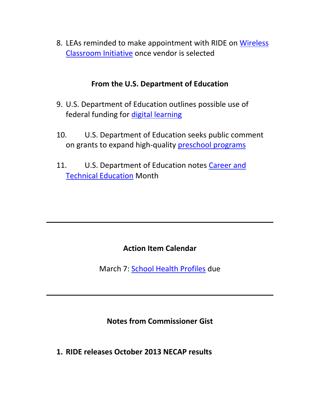8. LEAs reminded to make appointment with RIDE on Wireless Classroom Initiative once vendor is selected

#### **From the U.S. Department of Education**

- 9. U.S. Department of Education outlines possible use of federal funding for digital learning
- 10. U.S. Department of Education seeks public comment on grants to expand high‐quality preschool programs
- 11. U.S. Department of Education notes Career and Technical Education Month

### **Action Item Calendar**

March 7: School Health Profiles due

**Notes from Commissioner Gist**

**1. RIDE releases October 2013 NECAP results**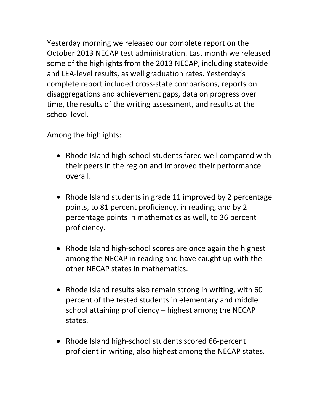Yesterday morning we released our complete report on the October 2013 NECAP test administration. Last month we released some of the highlights from the 2013 NECAP, including statewide and LEA‐level results, as well graduation rates. Yesterday's complete report included cross‐state comparisons, reports on disaggregations and achievement gaps, data on progress over time, the results of the writing assessment, and results at the school level.

Among the highlights:

- Rhode Island high-school students fared well compared with their peers in the region and improved their performance overall.
- Rhode Island students in grade 11 improved by 2 percentage points, to 81 percent proficiency, in reading, and by 2 percentage points in mathematics as well, to 36 percent proficiency.
- Rhode Island high-school scores are once again the highest among the NECAP in reading and have caught up with the other NECAP states in mathematics.
- Rhode Island results also remain strong in writing, with 60 percent of the tested students in elementary and middle school attaining proficiency – highest among the NECAP states.
- Rhode Island high-school students scored 66-percent proficient in writing, also highest among the NECAP states.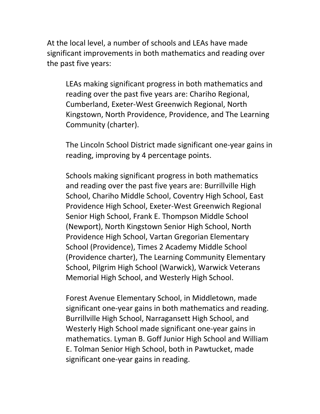At the local level, a number of schools and LEAs have made significant improvements in both mathematics and reading over the past five years:

LEAs making significant progress in both mathematics and reading over the past five years are: Chariho Regional, Cumberland, Exeter‐West Greenwich Regional, North Kingstown, North Providence, Providence, and The Learning Community (charter).

The Lincoln School District made significant one‐year gains in reading, improving by 4 percentage points.

Schools making significant progress in both mathematics and reading over the past five years are: Burrillville High School, Chariho Middle School, Coventry High School, East Providence High School, Exeter‐West Greenwich Regional Senior High School, Frank E. Thompson Middle School (Newport), North Kingstown Senior High School, North Providence High School, Vartan Gregorian Elementary School (Providence), Times 2 Academy Middle School (Providence charter), The Learning Community Elementary School, Pilgrim High School (Warwick), Warwick Veterans Memorial High School, and Westerly High School.

Forest Avenue Elementary School, in Middletown, made significant one‐year gains in both mathematics and reading. Burrillville High School, Narragansett High School, and Westerly High School made significant one‐year gains in mathematics. Lyman B. Goff Junior High School and William E. Tolman Senior High School, both in Pawtucket, made significant one‐year gains in reading.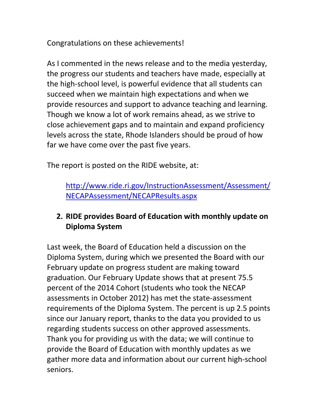Congratulations on these achievements!

As I commented in the news release and to the media yesterday, the progress our students and teachers have made, especially at the high‐school level, is powerful evidence that all students can succeed when we maintain high expectations and when we provide resources and support to advance teaching and learning. Though we know a lot of work remains ahead, as we strive to close achievement gaps and to maintain and expand proficiency levels across the state, Rhode Islanders should be proud of how far we have come over the past five years.

The report is posted on the RIDE website, at:

http://www.ride.ri.gov/InstructionAssessment/Assessment/ NECAPAssessment/NECAPResults.aspx

## **2. RIDE provides Board of Education with monthly update on Diploma System**

Last week, the Board of Education held a discussion on the Diploma System, during which we presented the Board with our February update on progress student are making toward graduation. Our February Update shows that at present 75.5 percent of the 2014 Cohort (students who took the NECAP assessments in October 2012) has met the state‐assessment requirements of the Diploma System. The percent is up 2.5 points since our January report, thanks to the data you provided to us regarding students success on other approved assessments. Thank you for providing us with the data; we will continue to provide the Board of Education with monthly updates as we gather more data and information about our current high‐school seniors.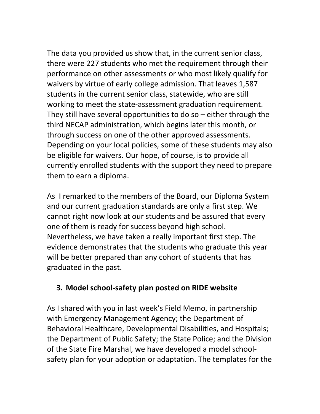The data you provided us show that, in the current senior class, there were 227 students who met the requirement through their performance on other assessments or who most likely qualify for waivers by virtue of early college admission. That leaves 1,587 students in the current senior class, statewide, who are still working to meet the state‐assessment graduation requirement. They still have several opportunities to do so – either through the third NECAP administration, which begins later this month, or through success on one of the other approved assessments. Depending on your local policies, some of these students may also be eligible for waivers. Our hope, of course, is to provide all currently enrolled students with the support they need to prepare them to earn a diploma.

As I remarked to the members of the Board, our Diploma System and our current graduation standards are only a first step. We cannot right now look at our students and be assured that every one of them is ready for success beyond high school. Nevertheless, we have taken a really important first step. The evidence demonstrates that the students who graduate this year will be better prepared than any cohort of students that has graduated in the past.

### **3. Model school‐safety plan posted on RIDE website**

As I shared with you in last week's Field Memo, in partnership with Emergency Management Agency; the Department of Behavioral Healthcare, Developmental Disabilities, and Hospitals; the Department of Public Safety; the State Police; and the Division of the State Fire Marshal, we have developed a model school‐ safety plan for your adoption or adaptation. The templates for the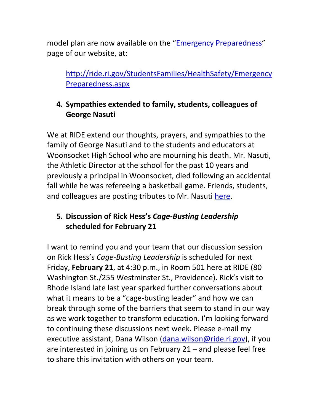model plan are now available on the "Emergency Preparedness" page of our website, at:

http://ride.ri.gov/StudentsFamilies/HealthSafety/Emergency Preparedness.aspx

# **4. Sympathies extended to family, students, colleagues of George Nasuti**

We at RIDE extend our thoughts, prayers, and sympathies to the family of George Nasuti and to the students and educators at Woonsocket High School who are mourning his death. Mr. Nasuti, the Athletic Director at the school for the past 10 years and previously a principal in Woonsocket, died following an accidental fall while he was refereeing a basketball game. Friends, students, and colleagues are posting tributes to Mr. Nasuti here.

## **5. Discussion of Rick Hess's** *Cage‐Busting Leadership* **scheduled for February 21**

I want to remind you and your team that our discussion session on Rick Hess's *Cage‐Busting Leadership* is scheduled for next Friday, **February 21**, at 4:30 p.m., in Room 501 here at RIDE (80 Washington St./255 Westminster St., Providence). Rick's visit to Rhode Island late last year sparked further conversations about what it means to be a "cage‐busting leader" and how we can break through some of the barriers that seem to stand in our way as we work together to transform education. I'm looking forward to continuing these discussions next week. Please e‐mail my executive assistant, Dana Wilson (dana.wilson@ride.ri.gov), if you are interested in joining us on February 21 – and please feel free to share this invitation with others on your team.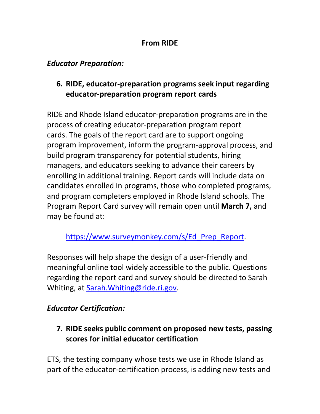#### **From RIDE**

#### *Educator Preparation:*

## **6. RIDE, educator‐preparation programs seek input regarding educator‐preparation program report cards**

RIDE and Rhode Island educator‐preparation programs are in the process of creating educator‐preparation program report cards. The goals of the report card are to support ongoing program improvement, inform the program‐approval process, and build program transparency for potential students, hiring managers, and educators seeking to advance their careers by enrolling in additional training. Report cards will include data on candidates enrolled in programs, those who completed programs, and program completers employed in Rhode Island schools. The Program Report Card survey will remain open until **March 7,** and may be found at:

https://www.surveymonkey.com/s/Ed\_Prep\_Report.

Responses will help shape the design of a user‐friendly and meaningful online tool widely accessible to the public. Questions regarding the report card and survey should be directed to Sarah Whiting, at Sarah.Whiting@ride.ri.gov.

# *Educator Certification:*

**7. RIDE seeks public comment on proposed new tests, passing scores for initial educator certification**

ETS, the testing company whose tests we use in Rhode Island as part of the educator-certification process, is adding new tests and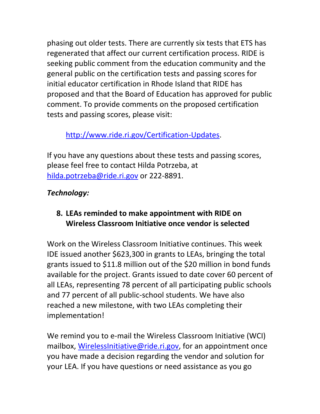phasing out older tests. There are currently six tests that ETS has regenerated that affect our current certification process. RIDE is seeking public comment from the education community and the general public on the certification tests and passing scores for initial educator certification in Rhode Island that RIDE has proposed and that the Board of Education has approved for public comment. To provide comments on the proposed certification tests and passing scores, please visit:

# http://www.ride.ri.gov/Certification‐Updates.

If you have any questions about these tests and passing scores, please feel free to contact Hilda Potrzeba, at hilda.potrzeba@ride.ri.gov or 222-8891.

# *Technology:*

# **8. LEAs reminded to make appointment with RIDE on Wireless Classroom Initiative once vendor is selected**

Work on the Wireless Classroom Initiative continues. This week IDE issued another \$623,300 in grants to LEAs, bringing the total grants issued to \$11.8 million out of the \$20 million in bond funds available for the project. Grants issued to date cover 60 percent of all LEAs, representing 78 percent of all participating public schools and 77 percent of all public‐school students. We have also reached a new milestone, with two LEAs completing their implementation!

We remind you to e-mail the Wireless Classroom Initiative (WCI) mailbox, WirelessInitiative@ride.ri.gov, for an appointment once you have made a decision regarding the vendor and solution for your LEA. If you have questions or need assistance as you go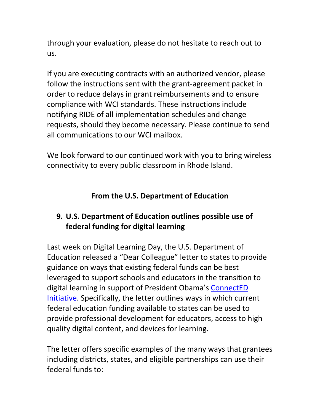through your evaluation, please do not hesitate to reach out to us.

If you are executing contracts with an authorized vendor, please follow the instructions sent with the grant‐agreement packet in order to reduce delays in grant reimbursements and to ensure compliance with WCI standards. These instructions include notifying RIDE of all implementation schedules and change requests, should they become necessary. Please continue to send all communications to our WCI mailbox.

We look forward to our continued work with you to bring wireless connectivity to every public classroom in Rhode Island.

## **From the U.S. Department of Education**

### **9. U.S. Department of Education outlines possible use of federal funding for digital learning**

Last week on Digital Learning Day, the U.S. Department of Education released a "Dear Colleague" letter to states to provide guidance on ways that existing federal funds can be best leveraged to support schools and educators in the transition to digital learning in support of President Obama's ConnectED Initiative. Specifically, the letter outlines ways in which current federal education funding available to states can be used to provide professional development for educators, access to high quality digital content, and devices for learning.

The letter offers specific examples of the many ways that grantees including districts, states, and eligible partnerships can use their federal funds to: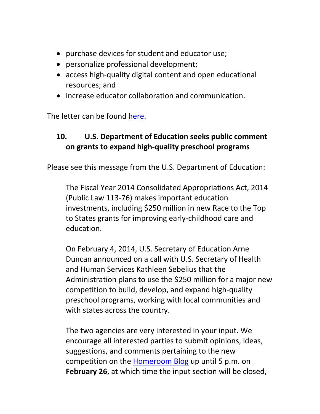- purchase devices for student and educator use;
- personalize professional development;
- access high-quality digital content and open educational resources; and
- increase educator collaboration and communication.

The letter can be found here.

# **10. U.S. Department of Education seeks public comment on grants to expand high‐quality preschool programs**

Please see this message from the U.S. Department of Education:

The Fiscal Year 2014 Consolidated Appropriations Act, 2014 (Public Law 113‐76) makes important education investments, including \$250 million in new Race to the Top to States grants for improving early‐childhood care and education.

On February 4, 2014, U.S. Secretary of Education Arne Duncan announced on a call with U.S. Secretary of Health and Human Services Kathleen Sebelius that the Administration plans to use the \$250 million for a major new competition to build, develop, and expand high‐quality preschool programs, working with local communities and with states across the country.

The two agencies are very interested in your input. We encourage all interested parties to submit opinions, ideas, suggestions, and comments pertaining to the new competition on the Homeroom Blog up until 5 p.m. on **February 26**, at which time the input section will be closed,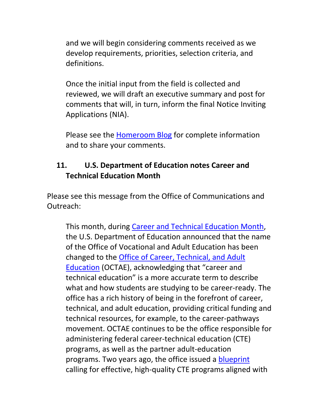and we will begin considering comments received as we develop requirements, priorities, selection criteria, and definitions.

Once the initial input from the field is collected and reviewed, we will draft an executive summary and post for comments that will, in turn, inform the final Notice Inviting Applications (NIA).

Please see the Homeroom Blog for complete information and to share your comments.

### **11. U.S. Department of Education notes Career and Technical Education Month**

Please see this message from the Office of Communications and Outreach:

This month, during Career and Technical Education Month, the U.S. Department of Education announced that the name of the Office of Vocational and Adult Education has been changed to the Office of Career, Technical, and Adult Education (OCTAE), acknowledging that "career and technical education" is a more accurate term to describe what and how students are studying to be career‐ready. The office has a rich history of being in the forefront of career, technical, and adult education, providing critical funding and technical resources, for example, to the career‐pathways movement. OCTAE continues to be the office responsible for administering federal career‐technical education (CTE) programs, as well as the partner adult‐education programs. Two years ago, the office issued a blueprint calling for effective, high‐quality CTE programs aligned with